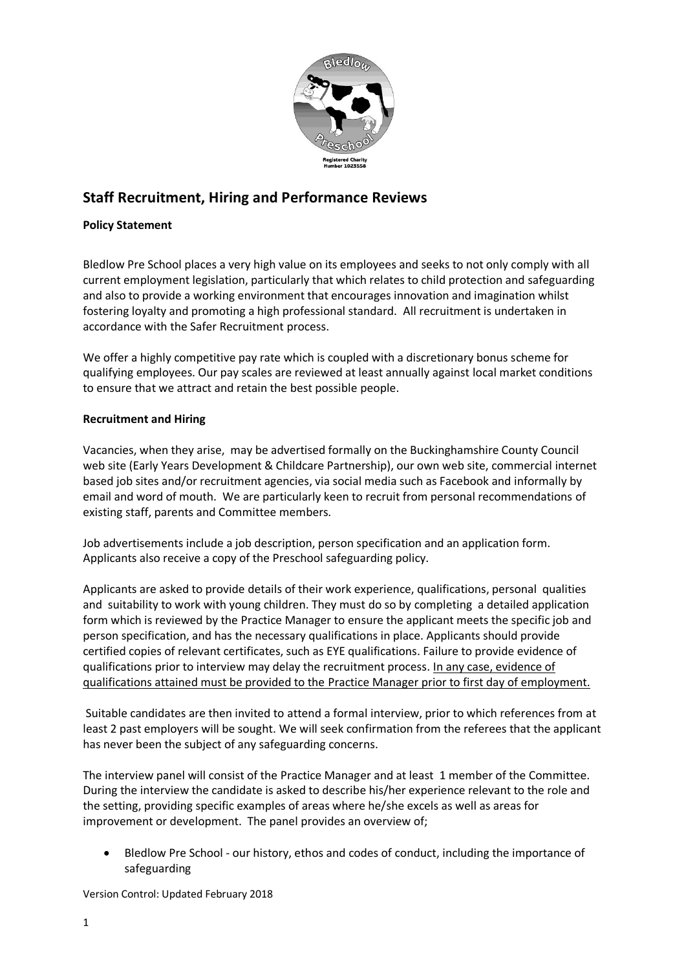

# **Staff Recruitment, Hiring and Performance Reviews**

## **Policy Statement**

Bledlow Pre School places a very high value on its employees and seeks to not only comply with all current employment legislation, particularly that which relates to child protection and safeguarding and also to provide a working environment that encourages innovation and imagination whilst fostering loyalty and promoting a high professional standard. All recruitment is undertaken in accordance with the Safer Recruitment process.

We offer a highly competitive pay rate which is coupled with a discretionary bonus scheme for qualifying employees. Our pay scales are reviewed at least annually against local market conditions to ensure that we attract and retain the best possible people.

## **Recruitment and Hiring**

Vacancies, when they arise, may be advertised formally on the Buckinghamshire County Council web site (Early Years Development & Childcare Partnership), our own web site, commercial internet based job sites and/or recruitment agencies, via social media such as Facebook and informally by email and word of mouth. We are particularly keen to recruit from personal recommendations of existing staff, parents and Committee members.

Job advertisements include a job description, person specification and an application form. Applicants also receive a copy of the Preschool safeguarding policy.

Applicants are asked to provide details of their work experience, qualifications, personal qualities and suitability to work with young children. They must do so by completing a detailed application form which is reviewed by the Practice Manager to ensure the applicant meets the specific job and person specification, and has the necessary qualifications in place. Applicants should provide certified copies of relevant certificates, such as EYE qualifications. Failure to provide evidence of qualifications prior to interview may delay the recruitment process. In any case, evidence of qualifications attained must be provided to the Practice Manager prior to first day of employment.

Suitable candidates are then invited to attend a formal interview, prior to which references from at least 2 past employers will be sought. We will seek confirmation from the referees that the applicant has never been the subject of any safeguarding concerns.

The interview panel will consist of the Practice Manager and at least 1 member of the Committee. During the interview the candidate is asked to describe his/her experience relevant to the role and the setting, providing specific examples of areas where he/she excels as well as areas for improvement or development. The panel provides an overview of;

 Bledlow Pre School - our history, ethos and codes of conduct, including the importance of safeguarding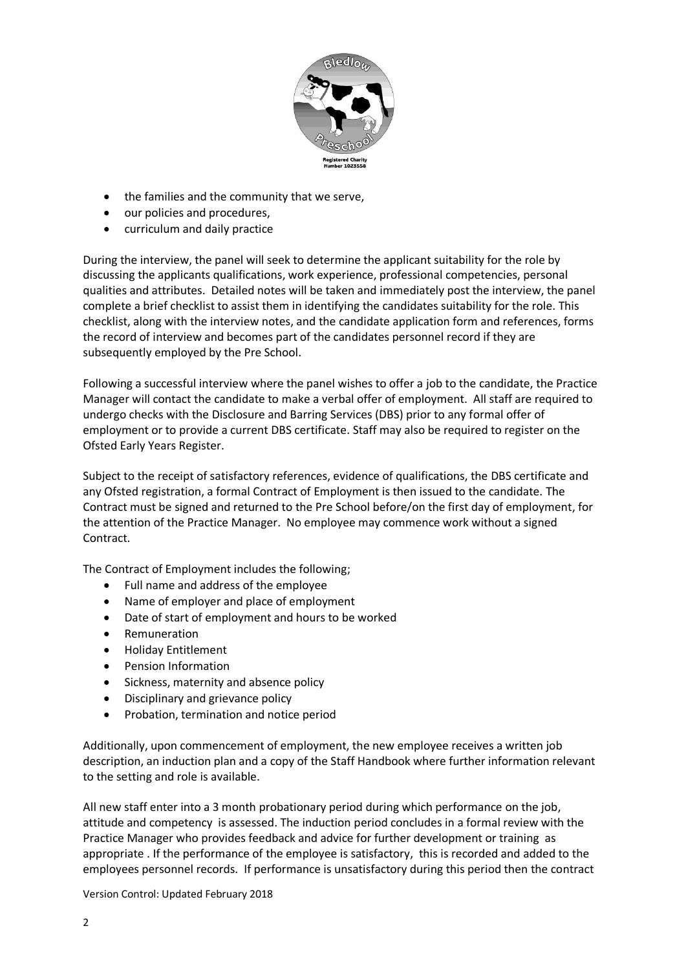

- the families and the community that we serve,
- our policies and procedures,
- curriculum and daily practice

During the interview, the panel will seek to determine the applicant suitability for the role by discussing the applicants qualifications, work experience, professional competencies, personal qualities and attributes. Detailed notes will be taken and immediately post the interview, the panel complete a brief checklist to assist them in identifying the candidates suitability for the role. This checklist, along with the interview notes, and the candidate application form and references, forms the record of interview and becomes part of the candidates personnel record if they are subsequently employed by the Pre School.

Following a successful interview where the panel wishes to offer a job to the candidate, the Practice Manager will contact the candidate to make a verbal offer of employment. All staff are required to undergo checks with the Disclosure and Barring Services (DBS) prior to any formal offer of employment or to provide a current DBS certificate. Staff may also be required to register on the Ofsted Early Years Register.

Subject to the receipt of satisfactory references, evidence of qualifications, the DBS certificate and any Ofsted registration, a formal Contract of Employment is then issued to the candidate. The Contract must be signed and returned to the Pre School before/on the first day of employment, for the attention of the Practice Manager. No employee may commence work without a signed Contract.

The Contract of Employment includes the following;

- Full name and address of the employee
- Name of employer and place of employment
- Date of start of employment and hours to be worked
- Remuneration
- Holiday Entitlement
- Pension Information
- Sickness, maternity and absence policy
- Disciplinary and grievance policy
- Probation, termination and notice period

Additionally, upon commencement of employment, the new employee receives a written job description, an induction plan and a copy of the Staff Handbook where further information relevant to the setting and role is available.

All new staff enter into a 3 month probationary period during which performance on the job, attitude and competency is assessed. The induction period concludes in a formal review with the Practice Manager who provides feedback and advice for further development or training as appropriate . If the performance of the employee is satisfactory, this is recorded and added to the employees personnel records. If performance is unsatisfactory during this period then the contract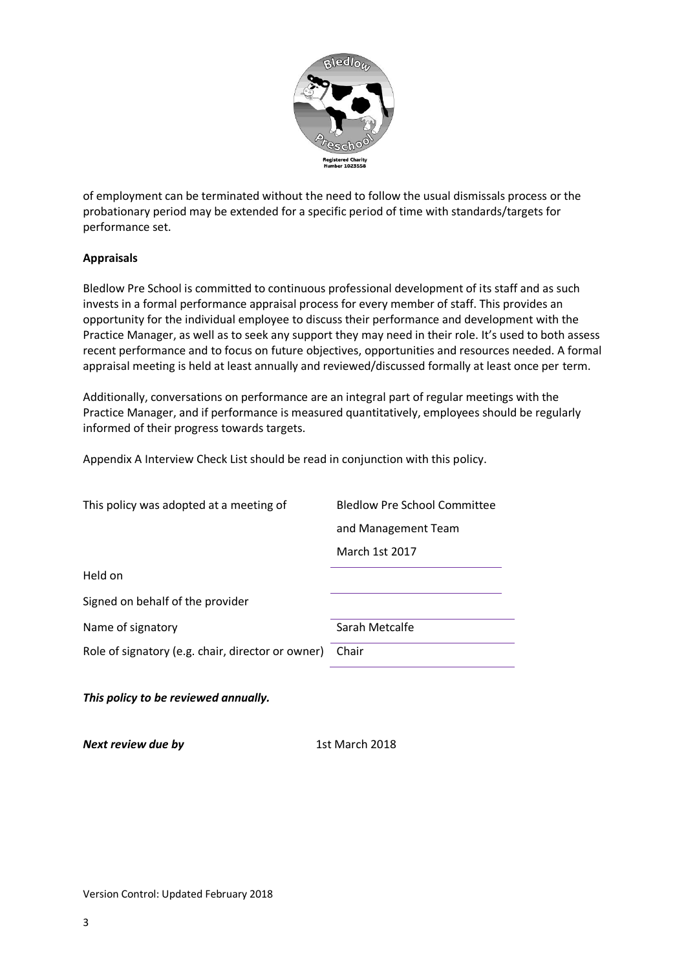

of employment can be terminated without the need to follow the usual dismissals process or the probationary period may be extended for a specific period of time with standards/targets for performance set.

#### **Appraisals**

Bledlow Pre School is committed to continuous professional development of its staff and as such invests in a formal performance appraisal process for every member of staff. This provides an opportunity for the individual employee to discuss their performance and development with the Practice Manager, as well as to seek any support they may need in their role. It's used to both assess recent performance and to focus on future objectives, opportunities and resources needed. A formal appraisal meeting is held at least annually and reviewed/discussed formally at least once per term.

Additionally, conversations on performance are an integral part of regular meetings with the Practice Manager, and if performance is measured quantitatively, employees should be regularly informed of their progress towards targets.

Appendix A Interview Check List should be read in conjunction with this policy.

*This policy to be reviewed annually.* 

*Next review due by* 1st March 2018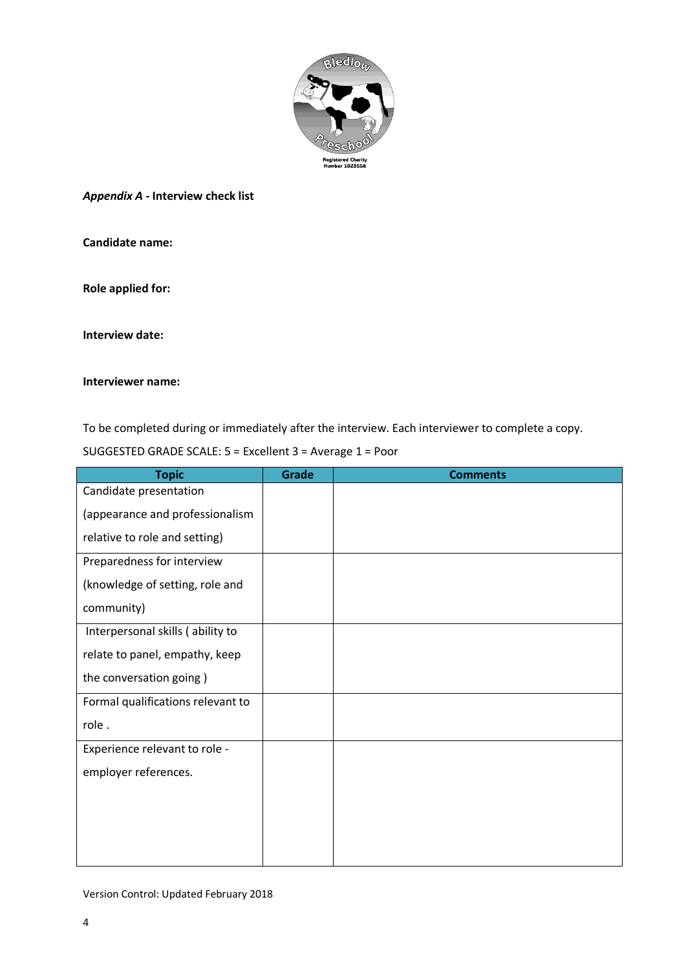

*Appendix A -* **Interview check list** 

**Candidate name:**

**Role applied for:**

**Interview date:**

#### **Interviewer name:**

To be completed during or immediately after the interview. Each interviewer to complete a copy.

| <b>Topic</b>                      | <b>Grade</b> | <b>Comments</b> |
|-----------------------------------|--------------|-----------------|
| Candidate presentation            |              |                 |
| (appearance and professionalism   |              |                 |
| relative to role and setting)     |              |                 |
| Preparedness for interview        |              |                 |
| (knowledge of setting, role and   |              |                 |
| community)                        |              |                 |
| Interpersonal skills (ability to  |              |                 |
| relate to panel, empathy, keep    |              |                 |
| the conversation going)           |              |                 |
| Formal qualifications relevant to |              |                 |
| role.                             |              |                 |
| Experience relevant to role -     |              |                 |
| employer references.              |              |                 |
|                                   |              |                 |
|                                   |              |                 |
|                                   |              |                 |
|                                   |              |                 |

SUGGESTED GRADE SCALE: 5 = Excellent 3 = Average 1 = Poor